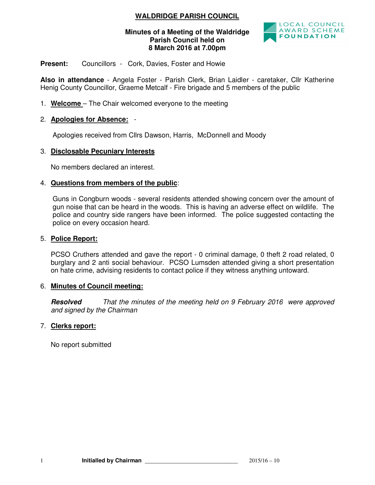# **WALDRIDGE PARISH COUNCIL**

### **Minutes of a Meeting of the Waldridge Parish Council held on 8 March 2016 at 7.00pm**



### Present: Councillors - Cork, Davies, Foster and Howie

**Also in attendance** - Angela Foster - Parish Clerk, Brian Laidler - caretaker, Cllr Katherine Henig County Councillor, Graeme Metcalf - Fire brigade and 5 members of the public

1. **Welcome** – The Chair welcomed everyone to the meeting

## 2. **Apologies for Absence:** -

Apologies received from Cllrs Dawson, Harris, McDonnell and Moody

## 3. **Disclosable Pecuniary Interests**

No members declared an interest.

### 4. **Questions from members of the public**:

Guns in Congburn woods - several residents attended showing concern over the amount of gun noise that can be heard in the woods. This is having an adverse effect on wildlife. The police and country side rangers have been informed. The police suggested contacting the police on every occasion heard.

#### 5. **Police Report:**

PCSO Cruthers attended and gave the report - 0 criminal damage, 0 theft 2 road related, 0 burglary and 2 anti social behaviour. PCSO Lumsden attended giving a short presentation on hate crime, advising residents to contact police if they witness anything untoward.

### 6. **Minutes of Council meeting:**

**Resolved** That the minutes of the meeting held on 9 February 2016 were approved and signed by the Chairman

### 7. **Clerks report:**

No report submitted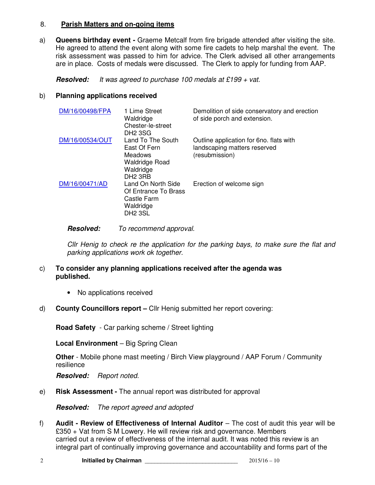### 8. **Parish Matters and on-going items**

a) **Queens birthday event -** Graeme Metcalf from fire brigade attended after visiting the site. He agreed to attend the event along with some fire cadets to help marshal the event. The risk assessment was passed to him for advice. The Clerk advised all other arrangements are in place. Costs of medals were discussed. The Clerk to apply for funding from AAP.

**Resolved:** It was agreed to purchase 100 medals at £199 + vat.

## b) **Planning applications received**

| DM/16/00498/FPA | 1 Lime Street<br>Waldridge<br>Chester-le-street<br>DH <sub>2</sub> 3SG                                    | Demolition of side conservatory and erection<br>of side porch and extension.              |
|-----------------|-----------------------------------------------------------------------------------------------------------|-------------------------------------------------------------------------------------------|
| DM/16/00534/OUT | Land To The South<br>East Of Fern<br>Meadows<br><b>Waldridge Road</b><br>Waldridge<br>DH <sub>2</sub> 3RB | Outline application for 6no. flats with<br>landscaping matters reserved<br>(resubmission) |
| DM/16/00471/AD  | Land On North Side<br>Of Entrance To Brass<br>Castle Farm<br>Waldridge<br><b>DH2 3SL</b>                  | Erection of welcome sign                                                                  |

## **Resolved:** To recommend approval.

Cllr Henig to check re the application for the parking bays, to make sure the flat and parking applications work ok together.

## c) **To consider any planning applications received after the agenda was published.**

- No applications received
- d) **County Councillors report** Cllr Henig submitted her report covering:

**Road Safety** - Car parking scheme / Street lighting

**Local Environment** – Big Spring Clean

**Other** - Mobile phone mast meeting / Birch View playground / AAP Forum / Community resilience

**Resolved:** Report noted.

e) **Risk Assessment -** The annual report was distributed for approval

**Resolved:** The report agreed and adopted

f) **Audit - Review of Effectiveness of Internal Auditor** – The cost of audit this year will be £350 + Vat from S M Lowery. He will review risk and governance. Members carried out a review of effectiveness of the internal audit. It was noted this review is an integral part of continually improving governance and accountability and forms part of the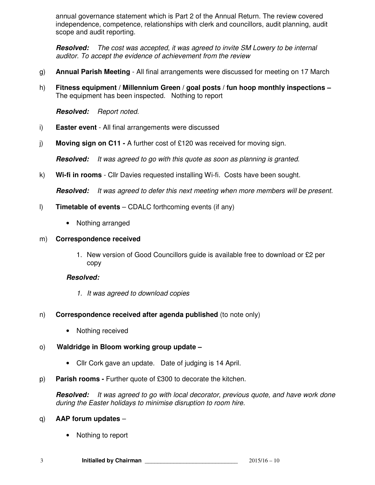annual governance statement which is Part 2 of the Annual Return. The review covered independence, competence, relationships with clerk and councillors, audit planning, audit scope and audit reporting.

**Resolved:** The cost was accepted, it was agreed to invite SM Lowery to be internal auditor. To accept the evidence of achievement from the review

- g) **Annual Parish Meeting** All final arrangements were discussed for meeting on 17 March
- h) **Fitness equipment / Millennium Green / goal posts / fun hoop monthly inspections**  The equipment has been inspected. Nothing to report

**Resolved:** Report noted.

- i) **Easter event**  All final arrangements were discussed
- j) **Moving sign on C11** A further cost of £120 was received for moving sign.

**Resolved:** It was agreed to go with this quote as soon as planning is granted.

k) **Wi-fi in rooms** - Cllr Davies requested installing Wi-fi. Costs have been sought.

**Resolved:** It was agreed to defer this next meeting when more members will be present.

- l) **Timetable of events** CDALC forthcoming events (if any)
	- Nothing arranged

### m) **Correspondence received**

1. New version of Good Councillors guide is available free to download or £2 per copy

### **Resolved:**

- 1. It was agreed to download copies
- n) **Correspondence received after agenda published** (to note only)
	- Nothing received

## o) **Waldridge in Bloom working group update –**

- Cllr Cork gave an update. Date of judging is 14 April.
- p) **Parish rooms** Further quote of £300 to decorate the kitchen.

**Resolved:** It was agreed to go with local decorator, previous quote, and have work done during the Easter holidays to minimise disruption to room hire.

### q) **AAP forum updates** –

• Nothing to report